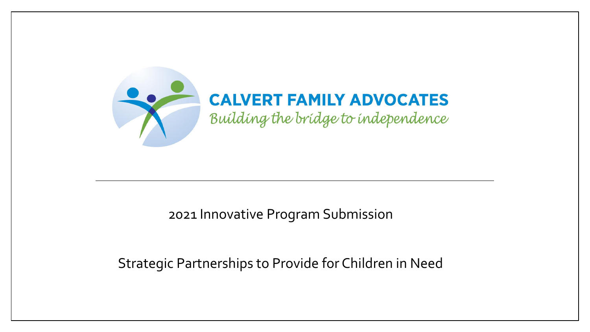

### 2021 Innovative Program Submission

### Strategic Partnerships to Provide for Children in Need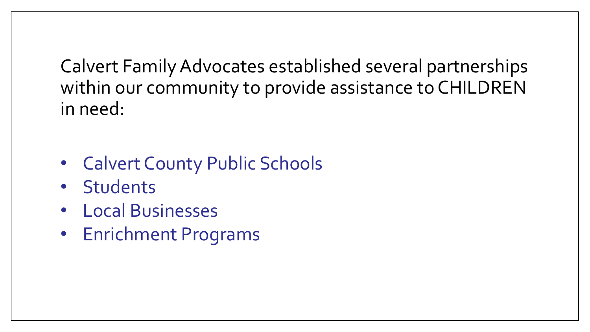Calvert Family Advocates established several partnerships within our community to provide assistance to CHILDREN in need:

- Calvert County Public Schools
- Students
- Local Businesses
- Enrichment Programs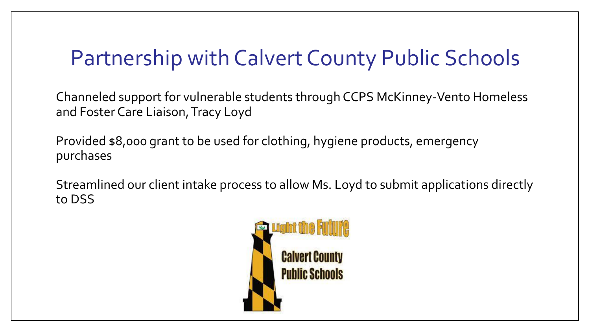# Partnership with Calvert County Public Schools

Channeled support for vulnerable students through CCPS McKinney-Vento Homeless and Foster Care Liaison, Tracy Loyd

Provided \$8,000 grant to be used for clothing, hygiene products, emergency purchases

Streamlined our client intake process to allow Ms. Loyd to submit applications directly to DSS

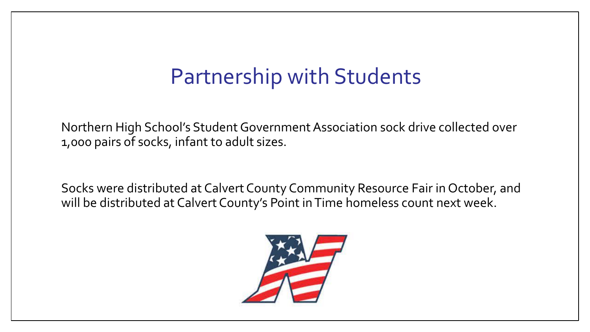## Partnership with Students

Northern High School's Student Government Association sock drive collected over 1,000 pairs of socks, infant to adult sizes.

Socks were distributed at Calvert County Community Resource Fair in October, and will be distributed at Calvert County's Point in Time homeless count next week.

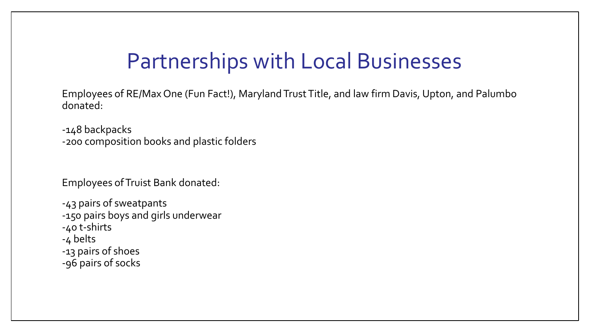## Partnerships with Local Businesses

Employees of RE/Max One (Fun Fact!), Maryland Trust Title, and law firm Davis, Upton, and Palumbo donated:

-148 backpacks -200 composition books and plastic folders

Employees of Truist Bank donated:

-43 pairs of sweatpants -150 pairs boys and girls underwear -40 t-shirts -4 belts -13 pairs of shoes -96 pairs of socks